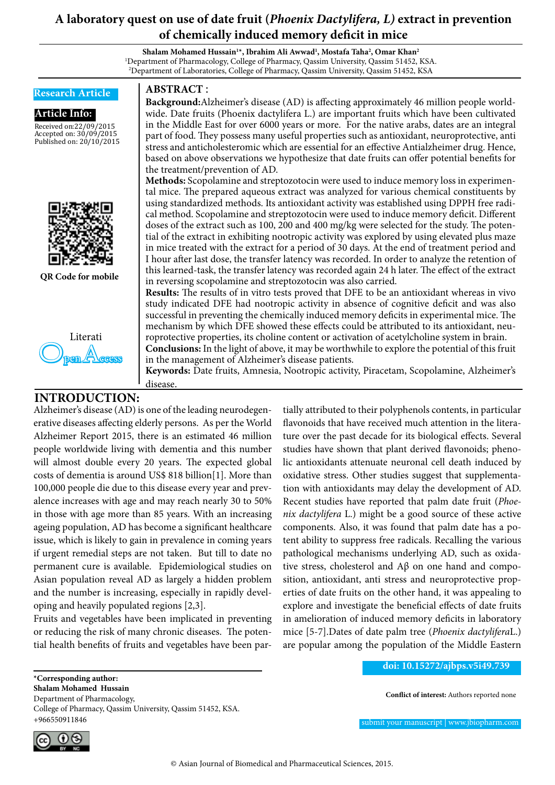# **A laboratory quest on use of date fruit (***Phoenix Dactylifera, L)* **extract in prevention of chemically induced memory deficit in mice**

**Shalam Mohamed Hussain1 \*, Ibrahim Ali Awwad1 , Mostafa Taha2 , Omar Khan2** 1 Department of Pharmacology, College of Pharmacy, Qassim University, Qassim 51452, KSA. 2 Department of Laboratories, College of Pharmacy, Qassim University, Qassim 51452, KSA



Alzheimer's disease (AD) is one of the leading neurodegenerative diseases affecting elderly persons. As per the World Alzheimer Report 2015, there is an estimated 46 million people worldwide living with dementia and this number will almost double every 20 years. The expected global costs of dementia is around US\$ 818 billion[1]. More than 100,000 people die due to this disease every year and prevalence increases with age and may reach nearly 30 to 50% in those with age more than 85 years. With an increasing ageing population, AD has become a significant healthcare issue, which is likely to gain in prevalence in coming years if urgent remedial steps are not taken. But till to date no permanent cure is available. Epidemiological studies on Asian population reveal AD as largely a hidden problem and the number is increasing, especially in rapidly developing and heavily populated regions [2,3].

Fruits and vegetables have been implicated in preventing or reducing the risk of many chronic diseases. The potential health benefits of fruits and vegetables have been par-

College of Pharmacy, Qassim University, Qassim 51452, KSA.

tially attributed to their polyphenols contents, in particular flavonoids that have received much attention in the literature over the past decade for its biological effects. Several studies have shown that plant derived flavonoids; phenolic antioxidants attenuate neuronal cell death induced by oxidative stress. Other studies suggest that supplementation with antioxidants may delay the development of AD. Recent studies have reported that palm date fruit (*Phoenix dactylifera* L.) might be a good source of these active components. Also, it was found that palm date has a potent ability to suppress free radicals. Recalling the various pathological mechanisms underlying AD, such as oxidative stress, cholesterol and Aβ on one hand and composition, antioxidant, anti stress and neuroprotective properties of date fruits on the other hand, it was appealing to explore and investigate the beneficial effects of date fruits in amelioration of induced memory deficits in laboratory mice [5-7].Dates of date palm tree (*Phoenix dactylifera*L.) are popular among the population of the Middle Eastern

#### **doi: 10.15272/ajbps.v5i49.739**

**Conflict of interest:** Authors reported none

submit your manuscript | www.jbiopharm.com



+966550911846

**\*Corresponding author: Shalam Mohamed Hussain**  Department of Pharmacology,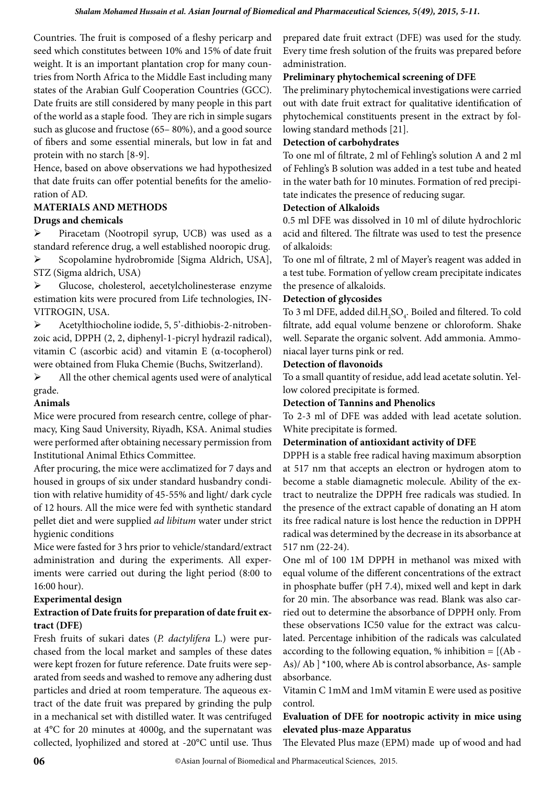Countries. The fruit is composed of a fleshy pericarp and seed which constitutes between 10% and 15% of date fruit weight. It is an important plantation crop for many countries from North Africa to the Middle East including many states of the Arabian Gulf Cooperation Countries (GCC). Date fruits are still considered by many people in this part of the world as a staple food. They are rich in simple sugars such as glucose and fructose (65– 80%), and a good source of fibers and some essential minerals, but low in fat and protein with no starch [8-9].

Hence, based on above observations we had hypothesized that date fruits can offer potential benefits for the amelioration of AD.

# **MATERIALS AND METHODS**

## **Drugs and chemicals**

 Piracetam (Nootropil syrup, UCB) was used as a standard reference drug, a well established nooropic drug. Scopolamine hydrobromide [Sigma Aldrich, USA], STZ (Sigma aldrich, USA)

 Glucose, cholesterol, aecetylcholinesterase enzyme estimation kits were procured from Life technologies, IN-VITROGIN, USA.

 Acetylthiocholine iodide, 5, 5'-dithiobis-2-nitrobenzoic acid, DPPH (2, 2, diphenyl-1-picryl hydrazil radical), vitamin C (ascorbic acid) and vitamin E (α-tocopherol) were obtained from Fluka Chemie (Buchs, Switzerland).

 $\triangleright$  All the other chemical agents used were of analytical grade.

# **Animals**

Mice were procured from research centre, college of pharmacy, King Saud University, Riyadh, KSA. Animal studies were performed after obtaining necessary permission from Institutional Animal Ethics Committee.

After procuring, the mice were acclimatized for 7 days and housed in groups of six under standard husbandry condition with relative humidity of 45-55% and light/ dark cycle of 12 hours. All the mice were fed with synthetic standard pellet diet and were supplied *ad libitum* water under strict hygienic conditions

Mice were fasted for 3 hrs prior to vehicle/standard/extract administration and during the experiments. All experiments were carried out during the light period (8:00 to 16:00 hour).

## **Experimental design**

# **Extraction of Date fruits for preparation of date fruit extract (DFE)**

Fresh fruits of sukari dates (*P. dactylifera* L.) were purchased from the local market and samples of these dates were kept frozen for future reference. Date fruits were separated from seeds and washed to remove any adhering dust particles and dried at room temperature. The aqueous extract of the date fruit was prepared by grinding the pulp in a mechanical set with distilled water. It was centrifuged at 4°C for 20 minutes at 4000g, and the supernatant was collected, lyophilized and stored at -20°C until use. Thus

prepared date fruit extract (DFE) was used for the study. Every time fresh solution of the fruits was prepared before administration.

## **Preliminary phytochemical screening of DFE**

The preliminary phytochemical investigations were carried out with date fruit extract for qualitative identification of phytochemical constituents present in the extract by following standard methods [21].

# **Detection of carbohydrates**

To one ml of filtrate, 2 ml of Fehling's solution A and 2 ml of Fehling's B solution was added in a test tube and heated in the water bath for 10 minutes. Formation of red precipitate indicates the presence of reducing sugar.

## **Detection of Alkaloids**

0.5 ml DFE was dissolved in 10 ml of dilute hydrochloric acid and filtered. The filtrate was used to test the presence of alkaloids:

To one ml of filtrate, 2 ml of Mayer's reagent was added in a test tube. Formation of yellow cream precipitate indicates the presence of alkaloids.

## **Detection of glycosides**

To 3 ml DFE, added dil. $\rm H_2SO_4$ . Boiled and filtered. To cold filtrate, add equal volume benzene or chloroform. Shake well. Separate the organic solvent. Add ammonia. Ammoniacal layer turns pink or red.

## **Detection of flavonoids**

To a small quantity of residue, add lead acetate solutin. Yellow colored precipitate is formed.

## **Detection of Tannins and Phenolics**

To 2-3 ml of DFE was added with lead acetate solution. White precipitate is formed.

## **Determination of antioxidant activity of DFE**

DPPH is a stable free radical having maximum absorption at 517 nm that accepts an electron or hydrogen atom to become a stable diamagnetic molecule. Ability of the extract to neutralize the DPPH free radicals was studied. In the presence of the extract capable of donating an H atom its free radical nature is lost hence the reduction in DPPH radical was determined by the decrease in its absorbance at 517 nm (22-24).

One ml of 100 1M DPPH in methanol was mixed with equal volume of the different concentrations of the extract in phosphate buffer (pH 7.4), mixed well and kept in dark for 20 min. The absorbance was read. Blank was also carried out to determine the absorbance of DPPH only. From these observations IC50 value for the extract was calculated. Percentage inhibition of the radicals was calculated according to the following equation,  $%$  inhibition =  $[(Ab -$ As)/ Ab ] \*100, where Ab is control absorbance, As- sample absorbance.

Vitamin C 1mM and 1mM vitamin E were used as positive control.

# **Evaluation of DFE for nootropic activity in mice using elevated plus-maze Apparatus**

The Elevated Plus maze (EPM) made up of wood and had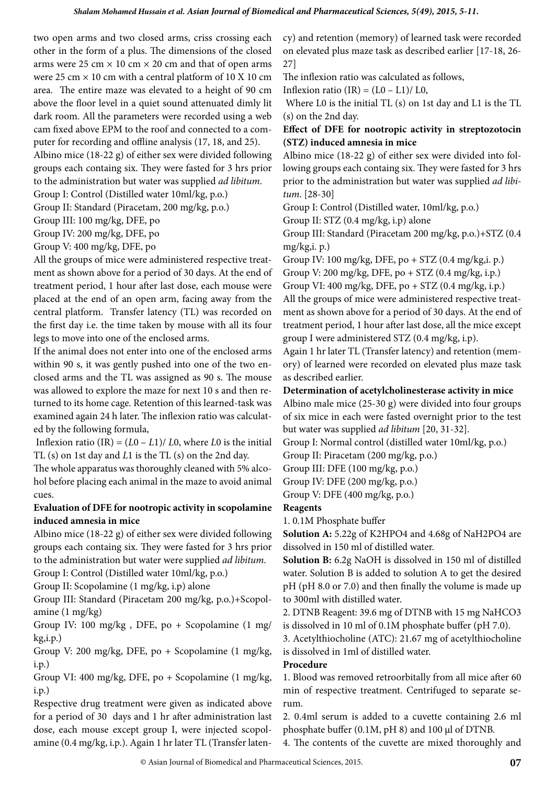two open arms and two closed arms, criss crossing each other in the form of a plus. The dimensions of the closed arms were 25 cm  $\times$  10 cm  $\times$  20 cm and that of open arms were 25 cm  $\times$  10 cm with a central platform of 10 X 10 cm area. The entire maze was elevated to a height of 90 cm above the floor level in a quiet sound attenuated dimly lit dark room. All the parameters were recorded using a web cam fixed above EPM to the roof and connected to a computer for recording and offline analysis (17, 18, and 25). Albino mice (18-22 g) of either sex were divided following groups each containg six. They were fasted for 3 hrs prior

to the administration but water was supplied *ad libitum*.

Group I: Control (Distilled water 10ml/kg, p.o.)

Group II: Standard (Piracetam, 200 mg/kg, p.o.)

Group III: 100 mg/kg, DFE, po

Group IV: 200 mg/kg, DFE, po

Group V: 400 mg/kg, DFE, po

All the groups of mice were administered respective treatment as shown above for a period of 30 days. At the end of treatment period, 1 hour after last dose, each mouse were placed at the end of an open arm, facing away from the central platform. Transfer latency (TL) was recorded on the first day i.e. the time taken by mouse with all its four legs to move into one of the enclosed arms.

If the animal does not enter into one of the enclosed arms within 90 s, it was gently pushed into one of the two enclosed arms and the TL was assigned as 90 s. The mouse was allowed to explore the maze for next 10 s and then returned to its home cage. Retention of this learned-task was examined again 24 h later. The inflexion ratio was calculated by the following formula,

Inflexion ratio  $(IR) = (L0 - L1)/L0$ , where *L*0 is the initial TL (s) on 1st day and *L*1 is the TL (s) on the 2nd day.

The whole apparatus was thoroughly cleaned with 5% alcohol before placing each animal in the maze to avoid animal cues.

## **Evaluation of DFE for nootropic activity in scopolamine induced amnesia in mice**

Albino mice (18-22 g) of either sex were divided following groups each containg six. They were fasted for 3 hrs prior to the administration but water were supplied *ad libitum*.

Group I: Control (Distilled water 10ml/kg, p.o.)

Group II: Scopolamine (1 mg/kg, i.p) alone

Group III: Standard (Piracetam 200 mg/kg, p.o.)+Scopolamine (1 mg/kg)

Group IV: 100 mg/kg , DFE, po + Scopolamine (1 mg/ kg,i.p.)

Group V: 200 mg/kg, DFE, po + Scopolamine (1 mg/kg, i.p.)

Group VI: 400 mg/kg, DFE, po + Scopolamine (1 mg/kg, i.p.)

Respective drug treatment were given as indicated above for a period of 30 days and 1 hr after administration last dose, each mouse except group I, were injected scopolamine (0.4 mg/kg, i.p.). Again 1 hr later TL (Transfer latency) and retention (memory) of learned task were recorded on elevated plus maze task as described earlier [17-18, 26- 27]

The inflexion ratio was calculated as follows,

Inflexion ratio  $(IR) = (L0 - L1)/L0$ ,

 Where L0 is the initial TL (s) on 1st day and L1 is the TL (s) on the 2nd day.

#### **Effect of DFE for nootropic activity in streptozotocin (STZ) induced amnesia in mice**

Albino mice (18-22 g) of either sex were divided into following groups each containg six. They were fasted for 3 hrs prior to the administration but water was supplied *ad libitum*. [28-30]

Group I: Control (Distilled water, 10ml/kg, p.o.)

Group II: STZ (0.4 mg/kg, i.p) alone

Group III: Standard (Piracetam 200 mg/kg, p.o.)+STZ (0.4 mg/kg,i. p.)

Group IV: 100 mg/kg, DFE, po + STZ (0.4 mg/kg,i. p.)

Group V: 200 mg/kg, DFE, po + STZ (0.4 mg/kg, i.p.)

Group VI: 400 mg/kg, DFE, po + STZ (0.4 mg/kg, i.p.)

All the groups of mice were administered respective treatment as shown above for a period of 30 days. At the end of treatment period, 1 hour after last dose, all the mice except group I were administered STZ (0.4 mg/kg, i.p).

Again 1 hr later TL (Transfer latency) and retention (memory) of learned were recorded on elevated plus maze task as described earlier.

#### **Determination of acetylcholinesterase activity in mice**

Albino male mice (25-30 g) were divided into four groups of six mice in each were fasted overnight prior to the test but water was supplied *ad libitum* [20, 31-32].

Group I: Normal control (distilled water 10ml/kg, p.o.)

Group II: Piracetam (200 mg/kg, p.o.)

Group III: DFE (100 mg/kg, p.o.)

Group IV: DFE (200 mg/kg, p.o.)

Group V: DFE (400 mg/kg, p.o.)

**Reagents**

1. 0.1M Phosphate buffer

**Solution A:** 5.22g of K2HPO4 and 4.68g of NaH2PO4 are dissolved in 150 ml of distilled water.

**Solution B:** 6.2g NaOH is dissolved in 150 ml of distilled water. Solution B is added to solution A to get the desired pH (pH 8.0 or 7.0) and then finally the volume is made up to 300ml with distilled water.

2. DTNB Reagent: 39.6 mg of DTNB with 15 mg NaHCO3 is dissolved in 10 ml of 0.1M phosphate buffer (pH 7.0).

3. Acetylthiocholine (ATC): 21.67 mg of acetylthiocholine is dissolved in 1ml of distilled water.

#### **Procedure**

1. Blood was removed retroorbitally from all mice after 60 min of respective treatment. Centrifuged to separate serum.

2. 0.4ml serum is added to a cuvette containing 2.6 ml phosphate buffer (0.1M, pH 8) and 100 μl of DTNB.

4. The contents of the cuvette are mixed thoroughly and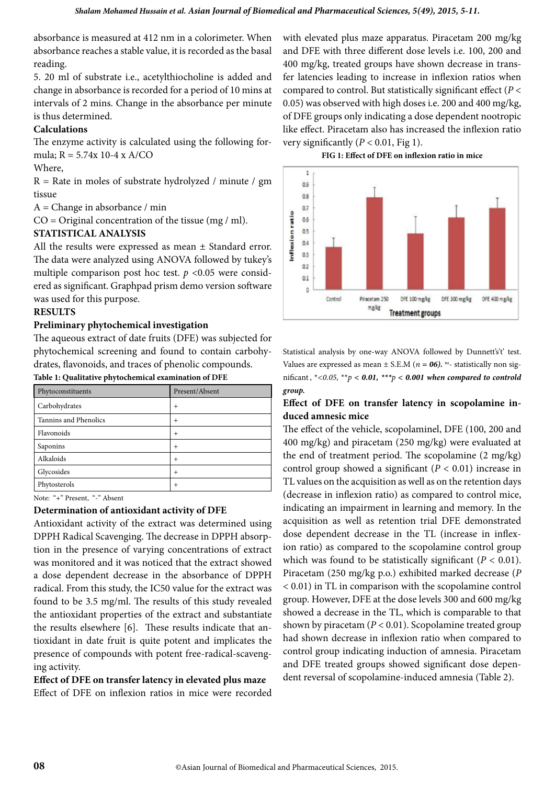absorbance is measured at 412 nm in a colorimeter. When absorbance reaches a stable value, it is recorded as the basal reading.

5. 20 ml of substrate i.e., acetylthiocholine is added and change in absorbance is recorded for a period of 10 mins at intervals of 2 mins. Change in the absorbance per minute is thus determined.

#### **Calculations**

The enzyme activity is calculated using the following formula; R = 5.74x 10-4 x A/CO

#### Where,

 $R =$  Rate in moles of substrate hydrolyzed / minute / gm tissue

 $A = Change$  in absorbance / min

 $CO = Original concentration of the tissue (mg / ml).$ 

#### **STATISTICAL ANALYSIS**

All the results were expressed as mean ± Standard error. The data were analyzed using ANOVA followed by tukey's multiple comparison post hoc test.  $p < 0.05$  were considered as significant. Graphpad prism demo version software was used for this purpose.

#### **RESULTS**

#### **Preliminary phytochemical investigation**

The aqueous extract of date fruits (DFE) was subjected for phytochemical screening and found to contain carbohydrates, flavonoids, and traces of phenolic compounds.

| Table 1: Qualitative phytochemical examination of DFE |  |
|-------------------------------------------------------|--|
|-------------------------------------------------------|--|

| Phytoconstituents     | Present/Absent |
|-----------------------|----------------|
| Carbohydrates         | $^{+}$         |
| Tannins and Phenolics | $^{+}$         |
| Flavonoids            | $+$            |
| Saponins              | $+$            |
| Alkaloids             | $+$            |
| Glycosides            | $+$            |
| Phytosterols          | $+$            |

Note: "+" Present, "-" Absent

#### **Determination of antioxidant activity of DFE**

Antioxidant activity of the extract was determined using DPPH Radical Scavenging. The decrease in DPPH absorption in the presence of varying concentrations of extract was monitored and it was noticed that the extract showed a dose dependent decrease in the absorbance of DPPH radical. From this study, the IC50 value for the extract was found to be 3.5 mg/ml. The results of this study revealed the antioxidant properties of the extract and substantiate the results elsewhere [6]. These results indicate that antioxidant in date fruit is quite potent and implicates the presence of compounds with potent free-radical-scavenging activity.

**Effect of DFE on transfer latency in elevated plus maze** Effect of DFE on inflexion ratios in mice were recorded with elevated plus maze apparatus. Piracetam 200 mg/kg and DFE with three different dose levels i.e. 100, 200 and 400 mg/kg, treated groups have shown decrease in transfer latencies leading to increase in inflexion ratios when compared to control. But statistically significant effect (*P* < 0.05) was observed with high doses i.e. 200 and 400 mg/kg, of DFE groups only indicating a dose dependent nootropic like effect. Piracetam also has increased the inflexion ratio very significantly  $(P < 0.01$ , Fig 1).





Statistical analysis by one-way ANOVA followed by Dunnett's't' test. Values are expressed as mean  $\pm$  S.E.M ( $n = 06$ ). <sup>ns</sup>- statistically non significant,  $*$  < 0.05,  $*$  *\** $p$  < 0.01,  $*$  *\** $*$ *p* < 0.001 when compared to controld *group.* 

#### **Effect of DFE on transfer latency in scopolamine induced amnesic mice**

The effect of the vehicle, scopolaminel, DFE (100, 200 and 400 mg/kg) and piracetam (250 mg/kg) were evaluated at the end of treatment period. The scopolamine (2 mg/kg) control group showed a significant (*P* < 0.01) increase in TL values on the acquisition as well as on the retention days (decrease in inflexion ratio) as compared to control mice, indicating an impairment in learning and memory. In the acquisition as well as retention trial DFE demonstrated dose dependent decrease in the TL (increase in inflexion ratio) as compared to the scopolamine control group which was found to be statistically significant  $(P < 0.01)$ . Piracetam (250 mg/kg p.o.) exhibited marked decrease (*P* < 0.01) in TL in comparison with the scopolamine control group. However, DFE at the dose levels 300 and 600 mg/kg showed a decrease in the TL, which is comparable to that shown by piracetam (*P* < 0.01). Scopolamine treated group had shown decrease in inflexion ratio when compared to control group indicating induction of amnesia. Piracetam and DFE treated groups showed significant dose dependent reversal of scopolamine-induced amnesia (Table 2).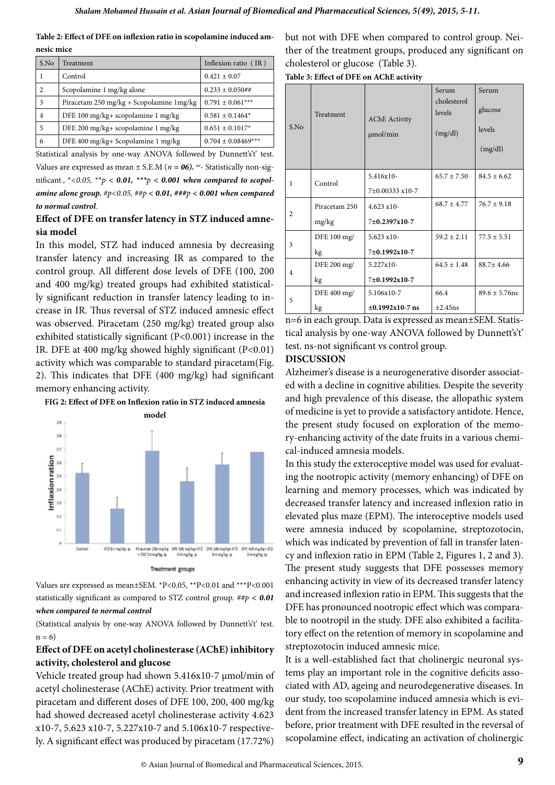**Table 2: Effect of DFE on inflexion ratio in scopolamine induced amnesic mice**

| S.No           | Treatment                                | Inflexion ratio (IR)   |  |
|----------------|------------------------------------------|------------------------|--|
| 1              | Control                                  | $0.421 \pm 0.07$       |  |
| $\mathfrak{2}$ | Scopolamine 1 mg/kg alone                | $0.233 \pm 0.050$ ##   |  |
| 3              | Piracetam 250 mg/kg + Scopolamine 1mg/kg | $0.791 \pm 0.061***$   |  |
| 4              | DFE 100 mg/kg+ scopolamine 1 mg/kg       | $0.581 \pm 0.1464*$    |  |
| 5              | DFE 200 mg/kg+ scopolamine 1 mg/kg       | $0.651 \pm 0.1017*$    |  |
| 6              | DFE 400 mg/kg+ Scopolamine 1 mg/kg       | $0.704 \pm 0.08469***$ |  |

Statistical analysis by one-way ANOVA followed by Dunnett's't' test. Values are expressed as mean  $\pm$  S.E.M ( $n = 06$ ). <sup>ns</sup>- Statistically non-significant,  $* < 0.05$ ,  $** p < 0.01$ ,  $*** p < 0.001$  when compared to scopol*amine alone group. #p<0.05, ##p < 0.01, ###p < 0.001 when compared to normal control*.

#### **Effect of DFE on transfer latency in STZ induced amnesia model**

In this model, STZ had induced amnesia by decreasing transfer latency and increasing IR as compared to the control group. All different dose levels of DFE (100, 200 and 400 mg/kg) treated groups had exhibited statistically significant reduction in transfer latency leading to increase in IR. Thus reversal of STZ induced amnesic effect was observed. Piracetam (250 mg/kg) treated group also exhibited statistically significant (P<0.001) increase in the IR. DFE at 400 mg/kg showed highly significant (P<0.01) activity which was comparable to standard piracetam(Fig. 2). This indicates that DFE (400 mg/kg) had significant memory enhancing activity.



**FIG 2: Effect of DFE on Inflexion ratio in STZ induced amnesia** 

Values are expressed as mean±SEM. \*P<0.05, \*\*P<0.01 and \*\*\*P<0.001 statistically significant as compared to STZ control group. *##p < 0.01 when compared to normal control*

(Statistical analysis by one-way ANOVA followed by Dunnett's't' test.  $n = 6$ 

# **Effect of DFE on acetyl cholinesterase (AChE) inhibitory activity, cholesterol and glucose**

Vehicle treated group had shown 5.416x10-7 μmol/min of acetyl cholinesterase (AChE) activity. Prior treatment with piracetam and different doses of DFE 100, 200, 400 mg/kg had showed decreased acetyl cholinesterase activity 4.623 x10-7, 5.623 x10-7, 5.227x10-7 and 5.106x10-7 respectively. A significant effect was produced by piracetam (17.72%)

but not with DFE when compared to control group. Neither of the treatment groups, produced any significant on cholesterol or glucose (Table 3).

**Table 3: Effect of DFE on AChE activity** 

| S.No           | Treatment     | <b>AChE</b> Activity<br>$\mu$ mol/min | <b>Serum</b><br>cholesterol<br>levels<br>(mg/dl) | Serum<br>glucose<br>levels<br>(mg/dl) |
|----------------|---------------|---------------------------------------|--------------------------------------------------|---------------------------------------|
| 1              | Control       | $5.416x10-$                           | $65.7 \pm 7.50$                                  | $84.5 + 6.62$                         |
|                |               | 7±0.00333 x10-7                       |                                                  |                                       |
| $\overline{c}$ | Piracetam 250 | $4.623 \times 10$ -                   | $68.7 + 4.77$                                    | $76.7 \pm 9.18$                       |
|                | mg/kg         | 7±0.2397x10-7                         |                                                  |                                       |
| 3              | DFE 100 mg/   | $5.623 \times 10$                     | $59.2 + 2.11$                                    | $77.5 + 5.51$                         |
|                | kg            | 7±0.1992x10-7                         |                                                  |                                       |
| 4              | DFE 200 mg/   | 5.227x10-                             | $64.5 \pm 1.48$                                  | $88.7 \pm 4.66$                       |
|                | kg            | 7±0.1992x10-7                         |                                                  |                                       |
| 5              | DFE 400 mg/   | 5.106x10-7                            | 66.4                                             | $89.6 \pm 5.76$ ns                    |
|                | kg            | $\pm 0.1992 \times 10-7$ ns           | $\pm 2.45$ ns                                    |                                       |

n=6 in each group. Data is expressed as mean±SEM. Statistical analysis by one-way ANOVA followed by Dunnett's't' test. ns-not significant vs control group.

#### **DISCUSSION**

Alzheimer's disease is a neurogenerative disorder associated with a decline in cognitive abilities. Despite the severity and high prevalence of this disease, the allopathic system of medicine is yet to provide a satisfactory antidote. Hence, the present study focused on exploration of the memory-enhancing activity of the date fruits in a various chemical-induced amnesia models.

In this study the exteroceptive model was used for evaluating the nootropic activity (memory enhancing) of DFE on learning and memory processes, which was indicated by decreased transfer latency and increased inflexion ratio in elevated plus maze (EPM). The interoceptive models used were amnesia induced by scopolamine, streptozotocin, which was indicated by prevention of fall in transfer latency and inflexion ratio in EPM (Table 2, Figures 1, 2 and 3). The present study suggests that DFE possesses memory enhancing activity in view of its decreased transfer latency and increased inflexion ratio in EPM. This suggests that the DFE has pronounced nootropic effect which was comparable to nootropil in the study. DFE also exhibited a facilitatory effect on the retention of memory in scopolamine and streptozotocin induced amnesic mice.

It is a well-established fact that cholinergic neuronal systems play an important role in the cognitive deficits associated with AD, ageing and neurodegenerative diseases. In our study, too scopolamine induced amnesia which is evident from the increased transfer latency in EPM. As stated before, prior treatment with DFE resulted in the reversal of scopolamine effect, indicating an activation of cholinergic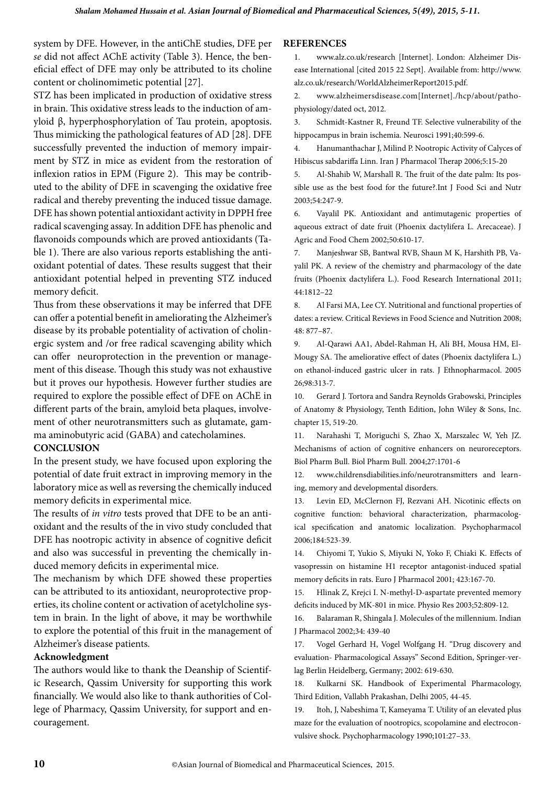system by DFE. However, in the antiChE studies, DFE per *se* did not affect AChE activity (Table 3). Hence, the beneficial effect of DFE may only be attributed to its choline content or cholinomimetic potential [27].

STZ has been implicated in production of oxidative stress in brain. This oxidative stress leads to the induction of amyloid β, hyperphosphorylation of Tau protein, apoptosis. Thus mimicking the pathological features of AD [28]. DFE successfully prevented the induction of memory impairment by STZ in mice as evident from the restoration of inflexion ratios in EPM (Figure 2). This may be contributed to the ability of DFE in scavenging the oxidative free radical and thereby preventing the induced tissue damage. DFE has shown potential antioxidant activity in DPPH free radical scavenging assay. In addition DFE has phenolic and flavonoids compounds which are proved antioxidants (Table 1). There are also various reports establishing the antioxidant potential of dates. These results suggest that their antioxidant potential helped in preventing STZ induced memory deficit.

Thus from these observations it may be inferred that DFE can offer a potential benefit in ameliorating the Alzheimer's disease by its probable potentiality of activation of cholinergic system and /or free radical scavenging ability which can offer neuroprotection in the prevention or management of this disease. Though this study was not exhaustive but it proves our hypothesis. However further studies are required to explore the possible effect of DFE on AChE in different parts of the brain, amyloid beta plaques, involvement of other neurotransmitters such as glutamate, gamma aminobutyric acid (GABA) and catecholamines.

#### **CONCLUSION**

In the present study, we have focused upon exploring the potential of date fruit extract in improving memory in the laboratory mice as well as reversing the chemically induced memory deficits in experimental mice.

The results of *in vitro* tests proved that DFE to be an antioxidant and the results of the in vivo study concluded that DFE has nootropic activity in absence of cognitive deficit and also was successful in preventing the chemically induced memory deficits in experimental mice.

The mechanism by which DFE showed these properties can be attributed to its antioxidant, neuroprotective properties, its choline content or activation of acetylcholine system in brain. In the light of above, it may be worthwhile to explore the potential of this fruit in the management of Alzheimer's disease patients.

#### **Acknowledgment**

The authors would like to thank the Deanship of Scientific Research, Qassim University for supporting this work financially. We would also like to thank authorities of College of Pharmacy, Qassim University, for support and encouragement.

#### **References**

1. www.alz.co.uk/research [Internet]. London: Alzheimer Disease International [cited 2015 22 Sept]. Available from: http://www. alz.co.uk/research/WorldAlzheimerReport2015.pdf.

2. www.alzheimersdisease.com[Internet]./hcp/about/pathophysiology/dated oct, 2012.

3. Schmidt-Kastner R, Freund TF. Selective vulnerability of the hippocampus in brain ischemia. Neurosci 1991;40:599-6.

4. Hanumanthachar J, Milind P. Nootropic Activity of Calyces of Hibiscus sabdariffa Linn. Iran J Pharmacol Therap 2006;5:15-20

5. Al-Shahib W, Marshall R. The fruit of the date palm: Its possible use as the best food for the future?.Int J Food Sci and Nutr 2003;54:247-9.

6. Vayalil PK. Antioxidant and antimutagenic properties of aqueous extract of date fruit (Phoenix dactylifera L. Arecaceae). J Agric and Food Chem 2002;50:610-17.

7. Manjeshwar SB, Bantwal RVB, Shaun M K, Harshith PB, Vayalil PK. A review of the chemistry and pharmacology of the date fruits (Phoenix dactylifera L.). Food Research International 2011; 44:1812–22

8. Al Farsi MA, Lee CY. Nutritional and functional properties of dates: a review. Critical Reviews in Food Science and Nutrition 2008; 48: 877–87.

9. Al-Qarawi AA1, Abdel-Rahman H, Ali BH, Mousa HM, El-Mougy SA. The ameliorative effect of dates (Phoenix dactylifera L.) on ethanol-induced gastric ulcer in rats. J Ethnopharmacol. 2005 26;98:313-7.

10. Gerard J. Tortora and Sandra Reynolds Grabowski, Principles of Anatomy & Physiology, Tenth Edition, John Wiley & Sons, Inc. chapter 15, 519-20.

11. Narahashi T, Moriguchi S, Zhao X, Marszalec W, Yeh JZ. Mechanisms of action of cognitive enhancers on neuroreceptors. Biol Pharm Bull. Biol Pharm Bull. 2004;27:1701-6

12. www.childrensdiabilities.info/neurotransmitters and learning, memory and developmental disorders.

13. Levin ED, McClernon FJ, Rezvani AH. Nicotinic effects on cognitive function: behavioral characterization, pharmacological specification and anatomic localization. Psychopharmacol 2006;184:523-39.

14. Chiyomi T, Yukio S, Miyuki N, Yoko F, Chiaki K. Effects of vasopressin on histamine H1 receptor antagonist-induced spatial memory deficits in rats. Euro J Pharmacol 2001; 423:167-70.

15. Hlinak Z, Krejci I. N-methyl-D-aspartate prevented memory deficits induced by MK-801 in mice. Physio Res 2003;52:809-12.

16. Balaraman R, Shingala J. Molecules of the millennium. Indian J Pharmacol 2002;34: 439-40

17. Vogel Gerhard H, Vogel Wolfgang H. "Drug discovery and evaluation- Pharmacological Assays" Second Edition, Springer-verlag Berlin Heidelberg, Germany; 2002: 619-630.

18. Kulkarni SK. Handbook of Experimental Pharmacology, Third Edition, Vallabh Prakashan, Delhi 2005, 44-45.

19. Itoh, J, Nabeshima T, Kameyama T. Utility of an elevated plus maze for the evaluation of nootropics, scopolamine and electroconvulsive shock. Psychopharmacology 1990;101:27–33.